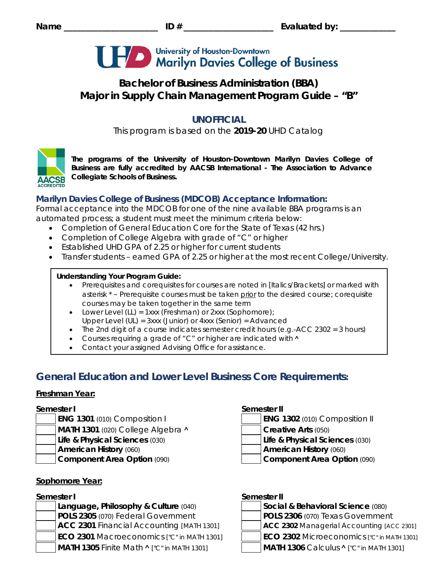

# **Bachelor of Business Administration (BBA) Major in Supply Chain Management Program Guide – "B"**

# **UNOFFICIAL**

This program is based on the **2019-20** UHD Catalog



*The programs of the University of Houston-Downtown Marilyn Davies College of Business are fully accredited by AACSB International - The Association to Advance Collegiate Schools of Business.*

## **Marilyn Davies College of Business (MDCOB) Acceptance Information:**

Formal acceptance into the MDCOB for one of the nine available BBA programs is an automated process; a student must meet the minimum criteria below:

- Completion of General Education Core for the State of Texas (42 hrs.)
- Completion of College Algebra with grade of "C" or higher
- Established UHD GPA of 2.25 or higher for current students
- Transfer students earned GPA of 2.25 or higher at the most recent College/University.

## **Understanding Your Program Guide:**

- Prerequisites and corequisites for courses are noted in *[Italics/Brackets]* or marked with asterisk \* – Prerequisite courses must be taken prior to the desired course; corequisite courses may be taken together in the same term
- Lower Level (LL) = 1xxx (Freshman) or 2xxx (Sophomore);
- Upper Level (UL) = 3xxx (Junior) or 4xxx (Senior) = Advanced
- The 2nd digit of a course indicates semester credit hours (e.g.-ACC 2302 = 3 hours)
- Courses requiring a grade of "C" or higher are indicated with  $\land$
- Contact your assigned Advising Office for assistance.

# **General Education and Lower Level Business Core Requirements:**

## **Freshman Year:**

- 
- **MATH 1301** (020) College Algebra **˄ Creative Arts** (050)
	- **Life & Physical Sciences** (030) **Life & Physical Sciences** (030)
	-
- 

## **Sophomore Year:**

**Language, Philosophy & Culture (040) POLS 2305** (070) Federal Government **POLS 2306** (070) Texas Government **ACC 2301** Financial Accounting *[MATH 1301]* **ACC 2302** Managerial Accounting *[ACC 2301]* **ECO 2301** Macroeconomics *["C" in MATH 1301]* **ECO 2302** Microeconomics *["C" in MATH 1301]* **MATH 1305** Finite Math **˄** *["C" in MATH 1301]* **MATH 1306** Calculus **˄** *["C" in MATH 1301]*

## **Semester I Semester II**

- **ENG 1301** (010) Composition I **ENG 1302** (010) Composition II
	-
	-
- **American History** (060) **American History** (060)
- **Component Area Option** (090) **Component Area Option** (090)

## **Semester I Semester II**

| Social & Behavioral Science (080) |
|-----------------------------------|
| $\overline{R}$                    |

- 
- 
- -